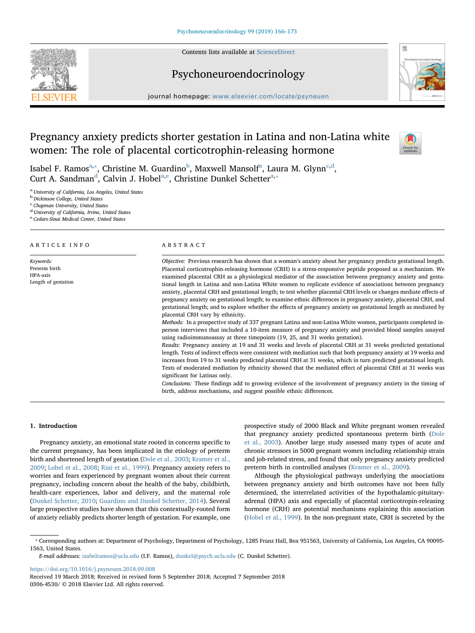Contents lists available at [ScienceDirect](http://www.sciencedirect.com/science/journal/03064530)





# Psychoneuroendocrinology

journal homepage: [www.elsevier.com/locate/psyneuen](https://www.elsevier.com/locate/psyneuen)

# Pregnancy anxiety predicts shorter gestation in Latina and non-Latina white women: The role of placental corticotrophin-releasing hormone



Isa[b](#page-0-2)el F. R[a](#page-0-0)mos $^{\mathrm{a},*}$ , Christine M. Guar[d](#page-0-4)ino $^{\mathrm{b}}$ , Maxwell Mansolf $^{\mathrm{a}}$ , Laura M. Glynn $^{\mathrm{c},\mathrm{d}}$ , Curt A. San[d](#page-0-4)m[a](#page-0-0)n<sup>d</sup>, Calvin J. Hobel<sup>a, e</sup>, Christine Dunkel Schetter<sup>a,\*</sup>

<span id="page-0-0"></span><sup>a</sup> University of California, Los Angeles, United States

<span id="page-0-2"></span><sup>b</sup> Dickinson College, United States

<span id="page-0-3"></span><sup>c</sup> Chapman University, United States

<span id="page-0-4"></span><sup>d</sup> University of California, Irvine, United States

<span id="page-0-5"></span><sup>e</sup> Cedars-Sinai Medical Center, United States

## ARTICLE INFO

Keywords: Preterm birth HPA-axis Length of gestation

# ABSTRACT

Objective: Previous research has shown that a woman's anxiety about her pregnancy predicts gestational length. Placental corticotrophin-releasing hormone (CRH) is a stress-responsive peptide proposed as a mechanism. We examined placental CRH as a physiological mediator of the association between pregnancy anxiety and gestational length in Latina and non-Latina White women to replicate evidence of associations between pregnancy anxiety, placental CRH and gestational length; to test whether placental CRH levels or changes mediate effects of pregnancy anxiety on gestational length; to examine ethnic differences in pregnancy anxiety, placental CRH, and gestational length; and to explore whether the effects of pregnancy anxiety on gestational length as mediated by placental CRH vary by ethnicity.

Methods: In a prospective study of 337 pregnant Latina and non-Latina White women, participants completed inperson interviews that included a 10-item measure of pregnancy anxiety and provided blood samples assayed using radioimmunoassay at three timepoints (19, 25, and 31 weeks gestation).

Results: Pregnancy anxiety at 19 and 31 weeks and levels of placental CRH at 31 weeks predicted gestational length. Tests of indirect effects were consistent with mediation such that both pregnancy anxiety at 19 weeks and increases from 19 to 31 weeks predicted placental CRH at 31 weeks, which in turn predicted gestational length. Tests of moderated mediation by ethnicity showed that the mediated effect of placental CRH at 31 weeks was significant for Latinas only.

Conclusions: These findings add to growing evidence of the involvement of pregnancy anxiety in the timing of birth, address mechanisms, and suggest possible ethnic differences.

# 1. Introduction

Pregnancy anxiety, an emotional state rooted in concerns specific to the current pregnancy, has been implicated in the etiology of preterm birth and shortened length of gestation [\(Dole et al., 2003;](#page-6-0) [Kramer et al.,](#page-7-0) [2009;](#page-7-0) [Lobel et al., 2008](#page-7-1); [Rini et al., 1999](#page-7-2)). Pregnancy anxiety refers to worries and fears experienced by pregnant women about their current pregnancy, including concern about the health of the baby, childbirth, health-care experiences, labor and delivery, and the maternal role ([Dunkel Schetter, 2010;](#page-6-1) [Guardino and Dunkel Schetter, 2014](#page-6-2)). Several large prospective studies have shown that this contextually-rooted form of anxiety reliably predicts shorter length of gestation. For example, one

prospective study of 2000 Black and White pregnant women revealed that pregnancy anxiety predicted spontaneous preterm birth ([Dole](#page-6-0) [et al., 2003](#page-6-0)). Another large study assessed many types of acute and chronic stressors in 5000 pregnant women including relationship strain and job-related stress, and found that only pregnancy anxiety predicted preterm birth in controlled analyses [\(Kramer et al., 2009\)](#page-7-0).

Although the physiological pathways underlying the associations between pregnancy anxiety and birth outcomes have not been fully determined, the interrelated activities of the hypothalamic-pituitaryadrenal (HPA) axis and especially of placental corticotropin-releasing hormone (CRH) are potential mechanisms explaining this association ([Hobel et al., 1999\)](#page-6-3). In the non-pregnant state, CRH is secreted by the

E-mail addresses: [isabelramos@ucla.edu](mailto:isabelramos@ucla.edu) (I.F. Ramos), [dunkel@psych.ucla.edu](mailto:dunkel@psych.ucla.edu) (C. Dunkel Schetter).

<https://doi.org/10.1016/j.psyneuen.2018.09.008>

<span id="page-0-1"></span><sup>⁎</sup> Corresponding authors at: Department of Psychology, Department of Psychology, 1285 Franz Hall, Box 951563, University of California, Los Angeles, CA 90095- 1563, United States.

Received 19 March 2018; Received in revised form 5 September 2018; Accepted 7 September 2018 0306-4530/ © 2018 Elsevier Ltd. All rights reserved.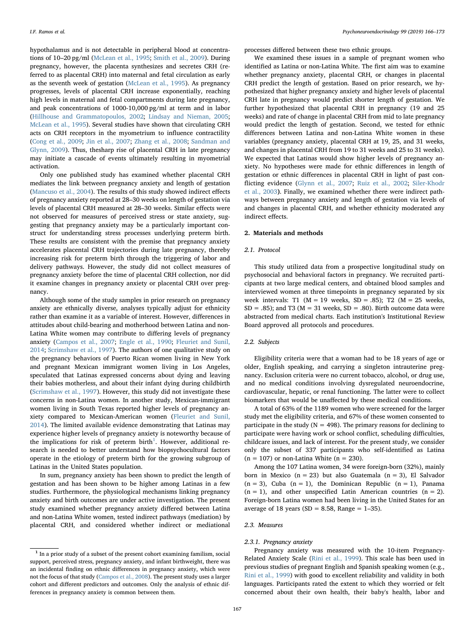hypothalamus and is not detectable in peripheral blood at concentrations of 10–20 pg/ml ([McLean et al., 1995](#page-7-3); [Smith et al., 2009\)](#page-7-4). During pregnancy, however, the placenta synthesizes and secretes CRH (referred to as placental CRH) into maternal and fetal circulation as early as the seventh week of gestation ([McLean et al., 1995](#page-7-3)). As pregnancy progresses, levels of placental CRH increase exponentially, reaching high levels in maternal and fetal compartments during late pregnancy, and peak concentrations of 1000-10,000 pg/ml at term and in labor ([Hillhouse and Grammatopoulos, 2002](#page-6-4); [Lindsay and Nieman, 2005](#page-7-5); [McLean et al., 1995](#page-7-3)). Several studies have shown that circulating CRH acts on CRH receptors in the myometrium to influence contractility ([Cong et al., 2009](#page-6-5); [Jin et al., 2007](#page-6-6); [Zhang et al., 2008;](#page-7-6) [Sandman and](#page-7-7) [Glynn, 2009\)](#page-7-7). Thus, thesharp rise of placental CRH in late pregnancy may initiate a cascade of events ultimately resulting in myometrial activation.

Only one published study has examined whether placental CRH mediates the link between pregnancy anxiety and length of gestation ([Mancuso et al., 2004](#page-7-8)). The results of this study showed indirect effects of pregnancy anxiety reported at 28–30 weeks on length of gestation via levels of placental CRH measured at 28–30 weeks. Similar effects were not observed for measures of perceived stress or state anxiety, suggesting that pregnancy anxiety may be a particularly important construct for understanding stress processes underlying preterm birth. These results are consistent with the premise that pregnancy anxiety accelerates placental CRH trajectories during late pregnancy, thereby increasing risk for preterm birth through the triggering of labor and delivery pathways. However, the study did not collect measures of pregnancy anxiety before the time of placental CRH collection, nor did it examine changes in pregnancy anxiety or placental CRH over pregnancy.

Although some of the study samples in prior research on pregnancy anxiety are ethnically diverse, analyses typically adjust for ethnicity rather than examine it as a variable of interest. However, differences in attitudes about child-bearing and motherhood between Latina and non-Latina White women may contribute to differing levels of pregnancy anxiety [\(Campos et al., 2007;](#page-6-7) [Engle et al., 1990](#page-6-8); [Fleuriet and Sunil,](#page-6-9) [2014;](#page-6-9) [Scrimshaw et al., 1997](#page-7-9)). The authors of one qualitative study on the pregnancy behaviors of Puerto Rican women living in New York and pregnant Mexican immigrant women living in Los Angeles, speculated that Latinas expressed concerns about dying and leaving their babies motherless, and about their infant dying during childbirth ([Scrimshaw et al., 1997](#page-7-9)). However, this study did not investigate these concerns in non-Latina women. In another study, Mexican-immigrant women living in South Texas reported higher levels of pregnancy anxiety compared to Mexican-American women ([Fleuriet and Sunil,](#page-6-9) [2014\)](#page-6-9). The limited available evidence demonstrating that Latinas may experience higher levels of pregnancy anxiety is noteworthy because of the implications for risk of preterm birth<sup>[1](#page-1-0)</sup>. However, additional research is needed to better understand how biopsychocultural factors operate in the etiology of preterm birth for the growing subgroup of Latinas in the United States population.

In sum, pregnancy anxiety has been shown to predict the length of gestation and has been shown to be higher among Latinas in a few studies. Furthermore, the physiological mechanisms linking pregnancy anxiety and birth outcomes are under active investigation. The present study examined whether pregnancy anxiety differed between Latina and non-Latina White women, tested indirect pathways (mediation) by placental CRH, and considered whether indirect or mediational

processes differed between these two ethnic groups.

We examined these issues in a sample of pregnant women who identified as Latina or non-Latina White. The first aim was to examine whether pregnancy anxiety, placental CRH, or changes in placental CRH predict the length of gestation. Based on prior research, we hypothesized that higher pregnancy anxiety and higher levels of placental CRH late in pregnancy would predict shorter length of gestation. We further hypothesized that placental CRH in pregnancy (19 and 25 weeks) and rate of change in placental CRH from mid to late pregnancy would predict the length of gestation. Second, we tested for ethnic differences between Latina and non-Latina White women in these variables (pregnancy anxiety, placental CRH at 19, 25, and 31 weeks, and changes in placental CRH from 19 to 31 weeks and 25 to 31 weeks). We expected that Latinas would show higher levels of pregnancy anxiety. No hypotheses were made for ethnic differences in length of gestation or ethnic differences in placental CRH in light of past conflicting evidence ([Glynn et al., 2007](#page-6-10); [Ruiz et al., 2002](#page-7-10); [Siler-Khodr](#page-7-11) [et al., 2003](#page-7-11)). Finally, we examined whether there were indirect pathways between pregnancy anxiety and length of gestation via levels of and changes in placental CRH, and whether ethnicity moderated any indirect effects.

# 2. Materials and methods

# 2.1. Protocol

This study utilized data from a prospective longitudinal study on psychosocial and behavioral factors in pregnancy. We recruited participants at two large medical centers, and obtained blood samples and interviewed women at three timepoints in pregnancy separated by six week intervals: T1 ( $M = 19$  weeks, SD = .85); T2 ( $M = 25$  weeks,  $SD = .85$ ); and T3 (M = 31 weeks,  $SD = .80$ ). Birth outcome data were abstracted from medical charts. Each institution's Institutional Review Board approved all protocols and procedures.

# 2.2. Subjects

Eligibility criteria were that a woman had to be 18 years of age or older, English speaking, and carrying a singleton intrauterine pregnancy. Exclusion criteria were no current tobacco, alcohol, or drug use, and no medical conditions involving dysregulated neuroendocrine, cardiovascular, hepatic, or renal functioning. The latter were to collect biomarkers that would be unaffected by these medical conditions.

A total of 63% of the 1189 women who were screened for the larger study met the eligibility criteria, and 67% of these women consented to participate in the study ( $N = 498$ ). The primary reasons for declining to participate were having work or school conflict, scheduling difficulties, childcare issues, and lack of interest. For the present study, we consider only the subset of 337 participants who self-identified as Latina  $(n = 107)$  or non-Latina White  $(n = 230)$ .

Among the 107 Latina women, 34 were foreign-born (32%), mainly born in Mexico ( $n = 23$ ) but also Guatemala ( $n = 3$ ), El Salvador  $(n = 3)$ , Cuba  $(n = 1)$ , the Dominican Republic  $(n = 1)$ , Panama  $(n = 1)$ , and other unspecified Latin American countries  $(n = 2)$ . Foreign-born Latina women had been living in the United States for an average of 18 years (SD = 8.58, Range =  $1-35$ ).

# 2.3. Measures

# 2.3.1. Pregnancy anxiety

Pregnancy anxiety was measured with the 10-item Pregnancy-Related Anxiety Scale ([Rini et al., 1999](#page-7-2)). This scale has been used in previous studies of pregnant English and Spanish speaking women (e.g., Rini [et al., 1999\)](#page-7-2) with good to excellent reliability and validity in both languages. Participants rated the extent to which they worried or felt concerned about their own health, their baby's health, labor and

<span id="page-1-0"></span> $1$  In a prior study of a subset of the present cohort examining familism, social support, perceived stress, pregnancy anxiety, and infant birthweight, there was an incidental finding on ethnic differences in pregnancy anxiety, which were not the focus of that study ([Campos et al., 2008\)](#page-6-11). The present study uses a larger cohort and different predictors and outcomes. Only the analysis of ethnic differences in pregnancy anxiety is common between them.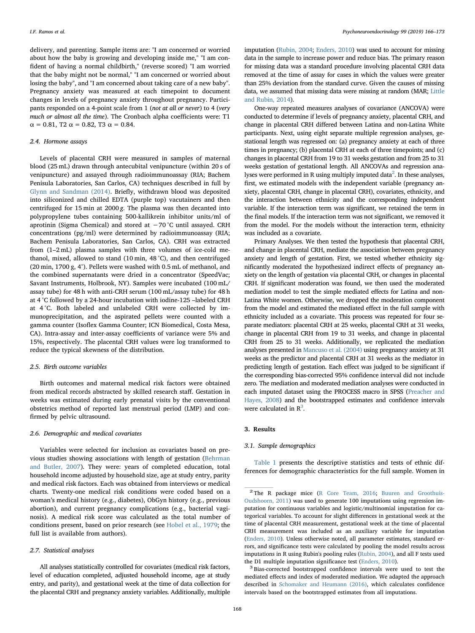delivery, and parenting. Sample items are: "I am concerned or worried about how the baby is growing and developing inside me," "I am confident of having a normal childbirth," (reverse scored) "I am worried that the baby might not be normal," "I am concerned or worried about losing the baby", and "I am concerned about taking care of a new baby". Pregnancy anxiety was measured at each timepoint to document changes in levels of pregnancy anxiety throughout pregnancy. Participants responded on a 4-point scale from 1 (not at all or never) to 4 (very much or almost all the time). The Cronbach alpha coefficients were: T1  $\alpha = 0.81$ , T2  $\alpha = 0.82$ , T3  $\alpha = 0.84$ .

#### 2.4. Hormone assays

Levels of placental CRH were measured in samples of maternal blood (25 mL) drawn through antecubital venipuncture (within 20 s of venipuncture) and assayed through radioimmunoassay (RIA; Bachem Penisula Laboratories, San Carlos, CA) techniques described in full by [Glynn and Sandman \(2014\)](#page-6-12). Briefly, withdrawn blood was deposited into siliconized and chilled EDTA (purple top) vacutainers and then centrifuged for 15 min at 2000 g. The plasma was then decanted into polypropylene tubes containing 500-kallikrein inhibitor units/ml of aprotinin (Sigma Chemical) and stored at −70 °C until assayed. CRH concentrations (pg/ml) were determined by radioimmunoassay (RIA; Bachem Penisula Laboratories, San Carlos, CA). CRH was extracted from (1–2 mL) plasma samples with three volumes of ice-cold methanol, mixed, allowed to stand (10 min, 48 °C), and then centrifuged (20 min, 1700 g, 4°). Pellets were washed with 0.5 mL of methanol, and the combined supernatants were dried in a concentrator (SpeedVac; Savant Instruments, Holbrook, NY). Samples were incubated (100 mL/ assay tube) for 48 h with anti-CRH serum (100 mL/assay tube) for 48 h at 4 °C followed by a 24-hour incubation with iodine-125 –labeled CRH at 4 °C. Both labeled and unlabeled CRH were collected by immunoprecipitation, and the aspirated pellets were counted with a gamma counter (Isoflex Gamma Counter; ICN Biomedical, Costa Mesa, CA). Intra-assay and inter-assay coefficients of variance were 5% and 15%, respectively. The placental CRH values were log transformed to reduce the typical skewness of the distribution.

## 2.5. Birth outcome variables

Birth outcomes and maternal medical risk factors were obtained from medical records abstracted by skilled research staff. Gestation in weeks was estimated during early prenatal visits by the conventional obstetrics method of reported last menstrual period (LMP) and confirmed by pelvic ultrasound.

#### 2.6. Demographic and medical covariates

Variables were selected for inclusion as covariates based on previous studies showing associations with length of gestation ([Behrman](#page-6-13) [and Butler, 2007\)](#page-6-13). They were: years of completed education, total household income adjusted by household size, age at study entry, parity and medical risk factors. Each was obtained from interviews or medical charts. Twenty-one medical risk conditions were coded based on a woman's medical history (e.g., diabetes), ObGyn history (e.g., previous abortion), and current pregnancy complications (e.g., bacterial vaginosis). A medical risk score was calculated as the total number of conditions present, based on prior research (see [Hobel et al., 1979;](#page-6-14) the full list is available from authors).

#### 2.7. Statistical analyses

All analyses statistically controlled for covariates (medical risk factors, level of education completed, adjusted household income, age at study entry, and parity), and gestational week at the time of data collection for the placental CRH and pregnancy anxiety variables. Additionally, multiple

imputation [\(Rubin, 2004;](#page-7-12) [Enders, 2010\)](#page-6-15) was used to account for missing data in the sample to increase power and reduce bias. The primary reason for missing data was a standard procedure involving placental CRH data removed at the time of assay for cases in which the values were greater than 25% deviation from the standard curve. Given the causes of missing data, we assumed that missing data were missing at random (MAR; [Little](#page-7-13) [and Rubin, 2014](#page-7-13)).

One-way repeated measures analyses of covariance (ANCOVA) were conducted to determine if levels of pregnancy anxiety, placental CRH, and change in placental CRH differed between Latina and non-Latina White participants. Next, using eight separate multiple regression analyses, gestational length was regressed on: (a) pregnancy anxiety at each of three times in pregnancy; (b) placental CRH at each of three timepoints; and (c) changes in placental CRH from 19 to 31 weeks gestation and from 25 to 31 weeks gestation of gestational length. All ANCOVAs and regression ana-lyses were performed in R using multiply imputed data<sup>[2](#page-2-0)</sup>. In these analyses, first, we estimated models with the independent variable (pregnancy anxiety, placental CRH, change in placental CRH), covariates, ethnicity, and the interaction between ethnicity and the corresponding independent variable. If the interaction term was significant, we retained the term in the final models. If the interaction term was not significant, we removed it from the model. For the models without the interaction term, ethnicity was included as a covariate.

Primary Analyses. We then tested the hypothesis that placental CRH, and change in placental CRH, mediate the association between pregnancy anxiety and length of gestation. First, we tested whether ethnicity significantly moderated the hypothesized indirect effects of pregnancy anxiety on the length of gestation via placental CRH, or changes in placental CRH. If significant moderation was found, we then used the moderated mediation model to test the simple mediated effects for Latina and non-Latina White women. Otherwise, we dropped the moderation component from the model and estimated the mediated effect in the full sample with ethnicity included as a covariate. This process was repeated for four separate mediators: placental CRH at 25 weeks, placental CRH at 31 weeks, change in placental CRH from 19 to 31 weeks, and change in placental CRH from 25 to 31 weeks. Additionally, we replicated the mediation analyses presented in [Mancuso et al. \(2004\)](#page-7-8) using pregnancy anxiety at 31 weeks as the predictor and placental CRH at 31 weeks as the mediator in predicting length of gestation. Each effect was judged to be significant if the corresponding bias-corrected 95% confidence interval did not include zero. The mediation and moderated mediation analyses were conducted in each imputed dataset using the PROCESS macro in SPSS [\(Preacher and](#page-7-14) [Hayes, 2008](#page-7-14)) and the bootstrapped estimates and confidence intervals were calculated in  $R^3$ .

# 3. Results

#### 3.1. Sample demographics

[Table 1](#page-3-0) presents the descriptive statistics and tests of ethnic differences for demographic characteristics for the full sample. Women in

<span id="page-2-0"></span><sup>&</sup>lt;sup>2</sup> The R package mice [\(R Core Team, 2016](#page-7-15); [Buuren and Groothuis-](#page-6-16)[Oudshoorn, 2011](#page-6-16)) was used to generate 100 imputations using regression imputation for continuous variables and logistic/multinomial imputation for categorical variables. To account for slight differences in gestational week at the time of placental CRH measurement, gestational week at the time of placental CRH measurement was included as an auxiliary variable for imputation [\(Enders, 2010\)](#page-6-15). Unless otherwise noted, all parameter estimates, standard errors, and significance tests were calculated by pooling the model results across imputations in R using Rubin's pooling rules ([Rubin, 2004\)](#page-7-12), and all F tests used the D1 multiple imputation significance test [\(Enders, 2010](#page-6-15)). <sup>3</sup> Bias-corrected bootstrapped confidence intervals were used to test the

<span id="page-2-1"></span>mediated effects and index of moderated mediation. We adapted the approach described in [Schomaker and Heumann \(2016\)](#page-7-16), which calculates confidence intervals based on the bootstrapped estimates from all imputations.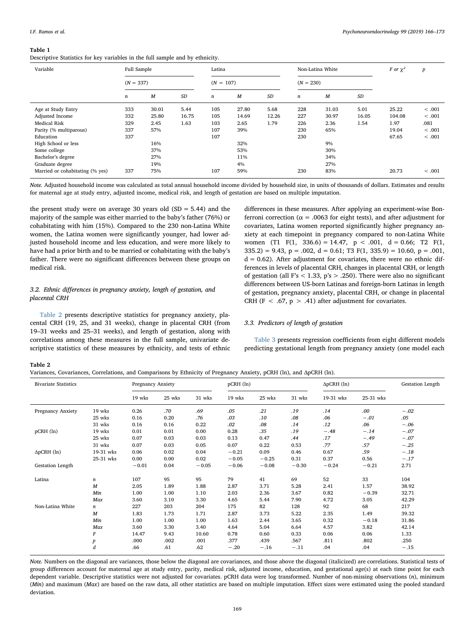#### <span id="page-3-0"></span>Table 1

Descriptive Statistics for key variables in the full sample and by ethnicity.

| Variable                        | Full Sample<br>$(N = 337)$ |       |       | Latina           |       |           |             | Non-Latina White | F or $\chi^2$ | $\boldsymbol{p}$ |         |
|---------------------------------|----------------------------|-------|-------|------------------|-------|-----------|-------------|------------------|---------------|------------------|---------|
|                                 |                            |       |       | $(N = 107)$      |       |           | $(N = 230)$ |                  |               |                  |         |
|                                 | $\boldsymbol{n}$           | M     | SD    | $\boldsymbol{n}$ | M     | <b>SD</b> | $\sqrt{n}$  | M                | SD            |                  |         |
| Age at Study Entry              | 333                        | 30.01 | 5.44  | 105              | 27.80 | 5.68      | 228         | 31.03            | 5.01          | 25.22            | < .001  |
| Adjusted Income                 | 332                        | 25.80 | 16.75 | 105              | 14.69 | 12.26     | 227         | 30.97            | 16.05         | 104.08           | < .001  |
| <b>Medical Risk</b>             | 329                        | 2.45  | 1.63  | 103              | 2.65  | 1.79      | 226         | 2.36             | 1.54          | 1.97             | .081    |
| Parity (% multiparous)          | 337                        | 57%   |       | 107              | 39%   |           | 230         | 65%              |               | 19.04            | < 0.001 |
| Education                       | 337                        |       |       | 107              |       |           | 230         |                  |               | 67.65            | < .001  |
| High School or less             |                            | 16%   |       |                  | 32%   |           |             | 9%               |               |                  |         |
| Some college                    |                            | 37%   |       |                  | 53%   |           |             | 30%              |               |                  |         |
| Bachelor's degree               |                            | 27%   |       |                  | 11%   |           |             | 34%              |               |                  |         |
| Graduate degree                 |                            | 19%   |       |                  | 4%    |           |             | 27%              |               |                  |         |
| Married or cohabitating (% yes) | 337                        | 75%   |       | 107              | 59%   |           | 230         | 83%              |               | 20.73            | < 0.001 |

Note. Adjusted household income was calculated as total annual household income divided by household size, in units of thousands of dollars. Estimates and results for maternal age at study entry, adjusted income, medical risk, and length of gestation are based on multiple imputation.

the present study were on average 30 years old  $(SD = 5.44)$  and the majority of the sample was either married to the baby's father (76%) or cohabitating with him (15%). Compared to the 230 non-Latina White women, the Latina women were significantly younger, had lower adjusted household income and less education, and were more likely to have had a prior birth and to be married or cohabitating with the baby's father. There were no significant differences between these groups on medical risk.

# 3.2. Ethnic differences in pregnancy anxiety, length of gestation, and placental CRH

[Table 2](#page-3-1) presents descriptive statistics for pregnancy anxiety, placental CRH (19, 25, and 31 weeks), change in placental CRH (from 19–31 weeks and 25–31 weeks), and length of gestation, along with correlations among these measures in the full sample, univariate descriptive statistics of these measures by ethnicity, and tests of ethnic differences in these measures. After applying an experiment-wise Bonferroni correction (α = .0063 for eight tests), and after adjustment for covariates, Latina women reported significantly higher pregnancy anxiety at each timepoint in pregnancy compared to non-Latina White women (T1 F(1, 336.6) = 14.47,  $p < .001$ ,  $d = 0.66$ ; T2 F(1,  $335.2$ ) = 9.43, p = .002, d = 0.61; T3 F(1, 335.9) = 10.60, p = .001,  $d = 0.62$ ). After adjustment for covariates, there were no ethnic differences in levels of placental CRH, changes in placental CRH, or length of gestation (all F's  $<$  1.33, p's  $>$  .250). There were also no significant differences between US-born Latinas and foreign-born Latinas in length of gestation, pregnancy anxiety, placental CRH, or change in placental CRH (F < .67,  $p > .41$ ) after adjustment for covariates.

# 3.3. Predictors of length of gestation

[Table 3](#page-4-0) presents regression coefficients from eight different models predicting gestational length from pregnancy anxiety (one model each

# <span id="page-3-1"></span>Table 2

|  |  |  |  | Variances, Covariances, Correlations, and Comparisons by Ethnicity of Pregnancy Anxiety, pCRH (ln), and ApCRH (ln). |  |  |  |  |  |  |  |
|--|--|--|--|---------------------------------------------------------------------------------------------------------------------|--|--|--|--|--|--|--|
|--|--|--|--|---------------------------------------------------------------------------------------------------------------------|--|--|--|--|--|--|--|

| <b>Bivariate Statistics</b> |                  | Pregnancy Anxiety |        |         | $p$ CRH $(ln)$ |         |         | $\Delta p$ CRH (ln) | Gestation Length |        |
|-----------------------------|------------------|-------------------|--------|---------|----------------|---------|---------|---------------------|------------------|--------|
|                             |                  | 19 wks            | 25 wks | 31 wks  | 19 wks         | 25 wks  | 31 wks  | 19-31 wks           | 25-31 wks        |        |
| Pregnancy Anxiety           | 19 wks           | 0.26              | .70    | .69     | .05            | .21     | .19     | .14                 | .00              | $-.02$ |
|                             | 25 wks           | 0.16              | 0.20   | .76     | .03            | .10     | .08     | .06                 | $-.01$           | .05    |
|                             | 31 wks           | 0.16              | 0.16   | 0.22    | .02            | .08     | .14     | .12                 | .06              | $-.06$ |
| $p$ CRH $(ln)$              | 19 wks           | 0.01              | 0.01   | 0.00    | 0.28           | .35     | .19     | $-.48$              | $-.14$           | $-.07$ |
|                             | 25 wks           | 0.07              | 0.03   | 0.03    | 0.13           | 0.47    | .44     | .17                 | $-.49$           | $-.07$ |
|                             | 31 wks           | 0.07              | 0.03   | 0.05    | 0.07           | 0.22    | 0.53    | .77                 | .57              | $-.25$ |
| $\Delta p$ CRH (ln)         | 19-31 wks        | 0.06              | 0.02   | 0.04    | $-0.21$        | 0.09    | 0.46    | 0.67                | .59              | $-.18$ |
|                             | 25-31 wks        | 0.00              | 0.00   | 0.02    | $-0.05$        | $-0.25$ | 0.31    | 0.37                | 0.56             | $-.17$ |
| Gestation Length            |                  | $-0.01$           | 0.04   | $-0.05$ | $-0.06$        | $-0.08$ | $-0.30$ | $-0.24$             | $-0.21$          | 2.71   |
| Latina                      | $\boldsymbol{n}$ | 107               | 95     | 95      | 79             | 41      | 69      | 52                  | 33               | 104    |
|                             | $\boldsymbol{M}$ | 2.05              | 1.89   | 1.88    | 2.87           | 3.71    | 5.28    | 2.41                | 1.57             | 38.92  |
|                             | Min              | 1.00              | 1.00   | 1.10    | 2.03           | 2.36    | 3.67    | 0.82                | $-0.39$          | 32.71  |
|                             | Max              | 3.60              | 3.10   | 3.30    | 4.65           | 5.44    | 7.90    | 4.72                | 3.05             | 42.29  |
| Non-Latina White            | n                | 227               | 203    | 204     | 175            | 82      | 128     | 92                  | 68               | 217    |
|                             | M                | 1.83              | 1.73   | 1.71    | 2.87           | 3.73    | 5.22    | 2.35                | 1.49             | 39.32  |
|                             | Min              | 1.00              | 1.00   | 1.00    | 1.63           | 2.44    | 3.65    | 0.32                | $-0.18$          | 31.86  |
|                             | Max              | 3.60              | 3.30   | 3.40    | 4.64           | 5.04    | 6.64    | 4.57                | 3.82             | 42.14  |
|                             | F                | 14.47             | 9.43   | 10.60   | 0.78           | 0.60    | 0.33    | 0.06                | 0.06             | 1.33   |
|                             | p                | .000              | .002   | .001    | .377           | .439    | .567    | .811                | .802             | .250   |
|                             | d                | .66               | .61    | .62     | $-.20$         | $-.16$  | $-.11$  | .04                 | .04              | $-.15$ |

Note. Numbers on the diagonal are variances, those below the diagonal are covariances, and those above the diagonal (italicized) are correlations. Statistical tests of group differences account for maternal age at study entry, parity, medical risk, adjusted income, education, and gestational age(s) at each time point for each dependent variable. Descriptive statistics were not adjusted for covariates. pCRH data were log transformed. Number of non-missing observations (n), minimum (Min) and maximum ( $Max$ ) are based on the raw data, all other statistics are based on multiple imputation. Effect sizes were estimated using the pooled standard deviation.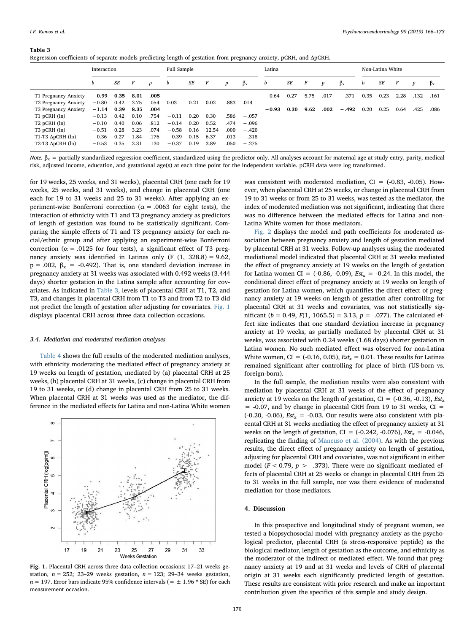#### <span id="page-4-0"></span>Table 3

| Regression coefficients of separate models predicting length of gestation from pregnancy anxiety, pCRH, and ApCRH. |  |  |  |  |
|--------------------------------------------------------------------------------------------------------------------|--|--|--|--|
|--------------------------------------------------------------------------------------------------------------------|--|--|--|--|

|                                                      |                  | Full Sample |      |                |                  |             | Latina  |      |      |                  |             | Non-Latina White |      |      |                  |             |
|------------------------------------------------------|------------------|-------------|------|----------------|------------------|-------------|---------|------|------|------------------|-------------|------------------|------|------|------------------|-------------|
| b<br>SE<br>F                                         | $\boldsymbol{p}$ | b           | SE   | $\overline{F}$ | $\boldsymbol{p}$ | $\beta_{x}$ | b       | SE   | F    | $\boldsymbol{p}$ | $\beta_{x}$ | b                | SE   | F    | $\boldsymbol{p}$ | $\beta_{x}$ |
| 0.35<br>$-0.99$<br>8.01<br>T1 Pregnancy Anxiety      | .005             |             |      |                |                  |             | $-0.64$ | 0.27 | 5.75 | .017             | $-.371$     | 0.35             | 0.23 | 2.28 | .132             | .161        |
| 0.42<br>3.75<br>$-0.80$<br>T2 Pregnancy Anxiety      | .054             | 0.03        | 0.21 | 0.02           | .883             | .014        |         |      |      |                  |             |                  |      |      |                  |             |
| 8.35<br>0.39<br>T3 Pregnancy Anxiety<br>$-1.14$      | .004             |             |      |                |                  |             | $-0.93$ | 0.30 | 9.62 | .002             | $-.492$     | 0.20             | 0.25 | 0.64 | .425             | .086        |
| 0.10<br>$T1$ pCRH $(ln)$<br>$-0.13$<br>0.42          | .754             | $-0.11$     | 0.20 | 0.30           | .586             | $-.057$     |         |      |      |                  |             |                  |      |      |                  |             |
| $T2$ pCRH $(ln)$<br>0.06<br>$-0.10$<br>0.40          | .812             | $-0.14$     | 0.20 | 0.52           | .474             | $-.096$     |         |      |      |                  |             |                  |      |      |                  |             |
| T3 pCRH (ln)<br>0.28<br>3.23<br>$-0.51$              | .074             | $-0.58$     | 0.16 | 12.54          | .000             | $-.420$     |         |      |      |                  |             |                  |      |      |                  |             |
| T1-T3 $\Delta p$ CRH (ln)<br>$-0.36$<br>0.27<br>I.84 | .176             | $-0.39$     | 0.15 | 6.37           | .013             | $-.318$     |         |      |      |                  |             |                  |      |      |                  |             |
| T2-T3 $\Delta p$ CRH (ln)<br>0.35<br>2.31<br>$-0.53$ | .130             | $-0.37$     | 0.19 | 3.89           | .050             | $-.275$     |         |      |      |                  |             |                  |      |      |                  |             |
|                                                      |                  |             |      |                |                  |             |         |      |      |                  |             |                  |      |      |                  |             |

Note.  $\beta_x$  = partially standardized regression coefficient, standardized using the predictor only. All analyses account for maternal age at study entry, parity, medical risk, adjusted income, education, and gestational age(s) at each time point for the independent variable. pCRH data were log transformed.

for 19 weeks, 25 weeks, and 31 weeks), placental CRH (one each for 19 weeks, 25 weeks, and 31 weeks), and change in placental CRH (one each for 19 to 31 weeks and 25 to 31 weeks). After applying an experiment-wise Bonferroni correction ( $\alpha$  = .0063 for eight tests), the interaction of ethnicity with T1 and T3 pregnancy anxiety as predictors of length of gestation was found to be statistically significant. Comparing the simple effects of T1 and T3 pregnancy anxiety for each racial/ethnic group and after applying an experiment-wise Bonferroni correction ( $\alpha$  = .0125 for four tests), a significant effect of T3 pregnancy anxiety was identified in Latinas only  $(F (1, 328.8) = 9.62,$  $p = .002$ ,  $\beta_x = .0.492$ ). That is, one standard deviation increase in pregnancy anxiety at 31 weeks was associated with 0.492 weeks (3.444 days) shorter gestation in the Latina sample after accounting for covariates. As indicated in [Table 3](#page-4-0), levels of placental CRH at T1, T2, and T3, and changes in placental CRH from T1 to T3 and from T2 to T3 did not predict the length of gestation after adjusting for covariates. [Fig. 1](#page-4-1) displays placental CRH across three data collection occasions.

#### 3.4. Mediation and moderated mediation analyses

[Table 4](#page-5-0) shows the full results of the moderated mediation analyses, with ethnicity moderating the mediated effect of pregnancy anxiety at 19 weeks on length of gestation, mediated by (a) placental CRH at 25 weeks, (b) placental CRH at 31 weeks, (c) change in placental CRH from 19 to 31 weeks, or (d) change in placental CRH from 25 to 31 weeks. When placental CRH at 31 weeks was used as the mediator, the difference in the mediated effects for Latina and non-Latina White women

<span id="page-4-1"></span>

Fig. 1. Placental CRH across three data collection occasions: 17–21 weeks gestation,  $n = 252$ ; 23-29 weeks gestation,  $n = 123$ ; 29-34 weeks gestation,  $n = 197$ . Error bars indicate 95% confidence intervals (=  $\pm$  1.96  $*$  SE) for each measurement occasion.

was consistent with moderated mediation,  $CI = (-0.83, -0.05)$ . However, when placental CRH at 25 weeks, or change in placental CRH from 19 to 31 weeks or from 25 to 31 weeks, was tested as the mediator, the index of moderated mediation was not significant, indicating that there was no difference between the mediated effects for Latina and non-Latina White women for those mediators.

[Fig. 2](#page-5-1) displays the model and path coefficients for moderated association between pregnancy anxiety and length of gestation mediated by placental CRH at 31 weeks. Follow-up analyses using the moderated mediational model indicated that placental CRH at 31 weeks mediated the effect of pregnancy anxiety at 19 weeks on the length of gestation for Latina women CI = (-0.86, -0.09),  $Est_x = -0.24$ . In this model, the conditional direct effect of pregnancy anxiety at 19 weeks on length of gestation for Latina women, which quantifies the direct effect of pregnancy anxiety at 19 weeks on length of gestation after controlling for placental CRH at 31 weeks and covariates, was not statistically significant ( $b = 0.49$ ,  $F(1, 1065.5) = 3.13$ ,  $p = .077$ ). The calculated effect size indicates that one standard deviation increase in pregnancy anxiety at 19 weeks, as partially mediated by placental CRH at 31 weeks, was associated with 0.24 weeks (1.68 days) shorter gestation in Latina women. No such mediated effect was observed for non-Latina White women, CI = (-0.16, 0.05),  $Est_x = 0.01$ . These results for Latinas remained significant after controlling for place of birth (US-born vs. foreign-born).

In the full sample, the mediation results were also consistent with mediation by placental CRH at 31 weeks of the effect of pregnancy anxiety at 19 weeks on the length of gestation,  $CI = (-0.36, -0.13)$ ,  $Est_x$  $= -0.07$ , and by change in placental CRH from 19 to 31 weeks, CI  $=$ (-0.20, -0.06),  $Est_x = -0.03$ . Our results were also consistent with placental CRH at 31 weeks mediating the effect of pregnancy anxiety at 31 weeks on the length of gestation, CI =  $(-0.242, -0.076)$ , Est<sub>x</sub> =  $-0.046$ , replicating the finding of [Mancuso et al. \(2004\)](#page-7-8). As with the previous results, the direct effect of pregnancy anxiety on length of gestation, adjusting for placental CRH and covariates, was not significant in either model ( $F < 0.79$ ,  $p > .373$ ). There were no significant mediated effects of placental CRH at 25 weeks or change in placental CRH from 25 to 31 weeks in the full sample, nor was there evidence of moderated mediation for those mediators.

# 4. Discussion

In this prospective and longitudinal study of pregnant women, we tested a biopsychosocial model with pregnancy anxiety as the psychological predictor, placental CRH (a stress-responsive peptide) as the biological mediator, length of gestation as the outcome, and ethnicity as the moderator of the indirect or mediated effect. We found that pregnancy anxiety at 19 and at 31 weeks and levels of CRH of placental origin at 31 weeks each significantly predicted length of gestation. These results are consistent with prior research and make an important contribution given the specifics of this sample and study design.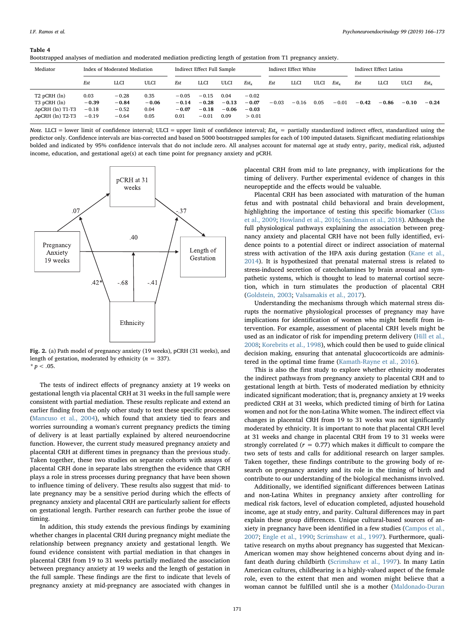#### <span id="page-5-0"></span>Table 4

| Bootstrapped analyses of mediation and moderated mediation predicting length of gestation from T1 pregnancy anxiety. |  |  |  |  |  |  |  |  |
|----------------------------------------------------------------------------------------------------------------------|--|--|--|--|--|--|--|--|
|                                                                                                                      |  |  |  |  |  |  |  |  |

| . .                                                                                         |                                       |                                          |                                 |                                       |                                          |                                    |                                         |         |                       |      |           |         |                        |         |           |  |
|---------------------------------------------------------------------------------------------|---------------------------------------|------------------------------------------|---------------------------------|---------------------------------------|------------------------------------------|------------------------------------|-----------------------------------------|---------|-----------------------|------|-----------|---------|------------------------|---------|-----------|--|
| Mediator                                                                                    | Index of Moderated Mediation          |                                          |                                 |                                       | Indirect Effect Full Sample              |                                    |                                         |         | Indirect Effect White |      |           |         | Indirect Effect Latina |         |           |  |
|                                                                                             | Est                                   | LLCI                                     | ULCI                            | Est                                   | LLCI                                     | ULCI                               | $Est_{x}$                               | Est     | LLCI                  | ULCI | $Est_{x}$ | Est     | <b>LLCI</b>            | ULCI    | $Est_{x}$ |  |
| $T2$ pCRH $(\ln)$<br>T3 pCRH (ln)<br>$\Delta p$ CRH (ln) T1-T3<br>$\Delta p$ CRH (ln) T2-T3 | 0.03<br>$-0.39$<br>$-0.18$<br>$-0.19$ | $-0.28$<br>$-0.84$<br>$-0.52$<br>$-0.64$ | 0.35<br>$-0.06$<br>0.04<br>0.05 | $-0.05$<br>$-0.14$<br>$-0.07$<br>0.01 | $-0.15$<br>$-0.28$<br>$-0.18$<br>$-0.01$ | 0.04<br>$-0.13$<br>$-0.06$<br>0.09 | $-0.02$<br>$-0.07$<br>$-0.03$<br>> 0.01 | $-0.03$ | $-0.16$               | 0.05 | $-0.01$   | $-0.42$ | $-0.86$                | $-0.10$ | $-0.24$   |  |

Note. LLCI = lower limit of confidence interval; ULCI = upper limit of confidence interval;  $Est_x$  = partially standardized indirect effect, standardized using the predictor only. Confidence intervals are bias-corrected and based on 5000 bootstrapped samples for each of 100 imputed datasets. Significant mediating relationships bolded and indicated by 95% confidence intervals that do not include zero. All analyses account for maternal age at study entry, parity, medical risk, adjusted income, education, and gestational age(s) at each time point for pregnancy anxiety and pCRH.

<span id="page-5-1"></span>

Fig. 2. (a) Path model of pregnancy anxiety (19 weeks), pCRH (31 weeks), and length of gestation, moderated by ethnicity ( $n = 337$ ).  $* p < .05.$ 

The tests of indirect effects of pregnancy anxiety at 19 weeks on gestational length via placental CRH at 31 weeks in the full sample were consistent with partial mediation. These results replicate and extend an earlier finding from the only other study to test these specific processes ([Mancuso et al., 2004](#page-7-8)), which found that anxiety tied to fears and worries surrounding a woman's current pregnancy predicts the timing of delivery is at least partially explained by altered neuroendocrine function. However, the current study measured pregnancy anxiety and placental CRH at different times in pregnancy than the previous study. Taken together, these two studies on separate cohorts with assays of placental CRH done in separate labs strengthen the evidence that CRH plays a role in stress processes during pregnancy that have been shown to influence timing of delivery. These results also suggest that mid- to late pregnancy may be a sensitive period during which the effects of pregnancy anxiety and placental CRH are particularly salient for effects on gestational length. Further research can further probe the issue of timing.

In addition, this study extends the previous findings by examining whether changes in placental CRH during pregnancy might mediate the relationship between pregnancy anxiety and gestational length. We found evidence consistent with partial mediation in that changes in placental CRH from 19 to 31 weeks partially mediated the association between pregnancy anxiety at 19 weeks and the length of gestation in the full sample. These findings are the first to indicate that levels of pregnancy anxiety at mid-pregnancy are associated with changes in

placental CRH from mid to late pregnancy, with implications for the timing of delivery. Further experimental evidence of changes in this neuropeptide and the effects would be valuable.

Placental CRH has been associated with maturation of the human fetus and with postnatal child behavioral and brain development, highlighting the importance of testing this specific biomarker ([Class](#page-6-17) [et al., 2009;](#page-6-17) [Howland et al., 2016](#page-6-18); [Sandman et al., 2018](#page-7-17)). Although the full physiological pathways explaining the association between pregnancy anxiety and placental CRH have not been fully identified, evidence points to a potential direct or indirect association of maternal stress with activation of the HPA axis during gestation [\(Kane et al.,](#page-6-19) [2014\)](#page-6-19). It is hypothesized that prenatal maternal stress is related to stress-induced secretion of catecholamines by brain arousal and sympathetic systems, which is thought to lead to maternal cortisol secretion, which in turn stimulates the production of placental CRH ([Goldstein, 2003;](#page-6-20) [Valsamakis et al., 2017\)](#page-7-18).

Understanding the mechanisms through which maternal stress disrupts the normative physiological processes of pregnancy may have implications for identification of women who might benefit from intervention. For example, assessment of placental CRH levels might be used as an indicator of risk for impending preterm delivery [\(Hill et al.,](#page-6-21) [2008;](#page-6-21) [Korebrits et al., 1998\)](#page-7-19), which could then be used to guide clinical decision making, ensuring that antenatal glucocorticoids are administered in the optimal time frame [\(Kamath-Rayne et al., 2016](#page-6-22)).

This is also the first study to explore whether ethnicity moderates the indirect pathways from pregnancy anxiety to placental CRH and to gestational length at birth. Tests of moderated mediation by ethnicity indicated significant moderation; that is, pregnancy anxiety at 19 weeks predicted CRH at 31 weeks, which predicted timing of birth for Latina women and not for the non-Latina White women. The indirect effect via changes in placental CRH from 19 to 31 weeks was not significantly moderated by ethnicity. It is important to note that placental CRH level at 31 weeks and change in placental CRH from 19 to 31 weeks were strongly correlated ( $r = 0.77$ ) which makes it difficult to compare the two sets of tests and calls for additional research on larger samples. Taken together, these findings contribute to the growing body of research on pregnancy anxiety and its role in the timing of birth and contribute to our understanding of the biological mechanisms involved.

Additionally, we identified significant differences between Latinas and non-Latina Whites in pregnancy anxiety after controlling for medical risk factors, level of education completed, adjusted household income, age at study entry, and parity. Cultural differences may in part explain these group differences. Unique cultural-based sources of anxiety in pregnancy have been identified in a few studies [\(Campos et al.,](#page-6-7) [2007;](#page-6-7) [Engle et al., 1990;](#page-6-8) [Scrimshaw et al., 1997\)](#page-7-9). Furthermore, qualitative research on myths about pregnancy has suggested that Mexican-American women may show heightened concerns about dying and infant death during childbirth [\(Scrimshaw et al., 1997\)](#page-7-9). In many Latin American cultures, childbearing is a highly-valued aspect of the female role, even to the extent that men and women might believe that a woman cannot be fulfilled until she is a mother ([Maldonado-Duran](#page-7-20)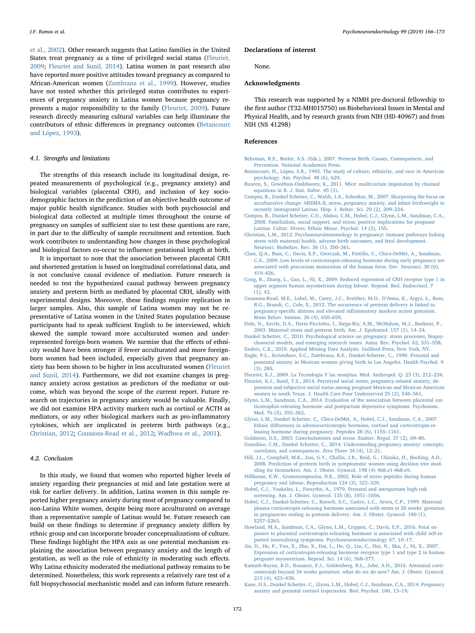[et al., 2002\)](#page-7-20). Other research suggests that Latino families in the United States treat pregnancy as a time of privileged social status [\(Fleuriet,](#page-6-23) [2009;](#page-6-23) [Fleuriet and Sunil, 2014](#page-6-9)). Latina women in past research also have reported more positive attitudes toward pregnancy as compared to African-American women ([Zambrana et al., 1999\)](#page-7-21). However, studies have not tested whether this privileged status contributes to experiences of pregnancy anxiety in Latina women because pregnancy represents a major responsibility to the family [\(Fleuriet, 2009\)](#page-6-23). Future research directly measuring cultural variables can help illuminate the contributors of ethnic differences in pregnancy outcomes [\(Betancourt](#page-6-24) [and López, 1993\)](#page-6-24).

## 4.1. Strengths and limitations

The strengths of this research include its longitudinal design, repeated measurements of psychological (e.g., pregnancy anxiety) and biological variables (placental CRH), and inclusion of key sociodemographic factors in the prediction of an objective health outcome of major public health significance. Studies with both psychosocial and biological data collected at multiple times throughout the course of pregnancy on samples of sufficient size to test these questions are rare, in part due to the difficulty of sample recruitment and retention. Such work contributes to understanding how changes in these psychological and biological factors co-occur to influence gestational length at birth.

It is important to note that the association between placental CRH and shortened gestation is based on longitudinal correlational data, and is not conclusive causal evidence of mediation. Future research is needed to test the hypothesized causal pathway between pregnancy anxiety and preterm birth as mediated by placental CRH, ideally with experimental designs. Moreover, these findings require replication in larger samples. Also, this sample of Latina women may not be representative of Latina women in the United States population because participants had to speak sufficient English to be interviewed, which skewed the sample toward more acculturated women and underrepresented foreign-born women. We surmise that the effects of ethnicity would have been stronger if fewer acculturated and more foreignborn women had been included, especially given that pregnancy anxiety has been shown to be higher in less acculturated women [\(Fleuriet](#page-6-9) [and Sunil, 2014](#page-6-9)). Furthermore, we did not examine changes in pregnancy anxiety across gestation as predictors of the mediator or outcome, which was beyond the scope of the current report. Future research on trajectories in pregnancy anxiety would be valuable. Finally, we did not examine HPA activity markers such as cortisol or ACTH as mediators, or any other biological markers such as pro-inflammatory cytokines, which are implicated in preterm birth pathways (e.g., [Christian, 2012](#page-6-25); [Coussons-Read et al., 2012](#page-6-26); [Wadhwa et al., 2001](#page-7-22)).

## 4.2. Conclusion

In this study, we found that women who reported higher levels of anxiety regarding their pregnancies at mid and late gestation were at risk for earlier delivery. In addition, Latina women in this sample reported higher pregnancy anxiety during most of pregnancy compared to non-Latina White women, despite being more acculturated on average than a representative sample of Latinas would be. Future research can build on these findings to determine if pregnancy anxiety differs by ethnic group and can incorporate broader conceptualizations of culture. These findings highlight the HPA axis as one potential mechanism explaining the association between pregnancy anxiety and the length of gestation, as well as the role of ethnicity in moderating such effects. Why Latina ethnicity moderated the mediational pathway remains to be determined. Nonetheless, this work represents a relatively rare test of a full biopsychosocial mechanistic model and can inform future research.

#### Declarations of interest

None.

# Acknowledgments

This research was supported by a NIMH pre-doctoral fellowship to the first author (T32-MH015750) on Biobehavioral Issues in Mental and Physical Health, and by research grants from NIH (HD 40967) and from NIH (NS 41298)

## References

- <span id="page-6-13"></span>[Behrman, R.E., Butler, A.S. \(Eds.\), 2007. Preterm Birth: Causes, Consequences, and](http://refhub.elsevier.com/S0306-4530(18)30233-6/sbref0005) [Prevention. National Academies Press](http://refhub.elsevier.com/S0306-4530(18)30233-6/sbref0005).
- <span id="page-6-24"></span>[Betancourt, H., López, S.R., 1993. The study of culture, ethnicity, and race in American](http://refhub.elsevier.com/S0306-4530(18)30233-6/sbref0010) [psychology. Am. Psychol. 48 \(6\), 629.](http://refhub.elsevier.com/S0306-4530(18)30233-6/sbref0010)
- <span id="page-6-16"></span>[Buuren, S., Groothuis-Oudshoorn, K., 2011. Mice: multivariate imputation by chained](http://refhub.elsevier.com/S0306-4530(18)30233-6/sbref0015) [equations in R. J. Stat. Softw. 45 \(3\)](http://refhub.elsevier.com/S0306-4530(18)30233-6/sbref0015).
- <span id="page-6-7"></span>[Campos, B., Dunkel Schetter, C., Walsh, J.A., Schenker, M., 2007. Sharpening the focus on](http://refhub.elsevier.com/S0306-4530(18)30233-6/sbref0020) [acculturative change: ARSMA-II, stress, pregnancy anxiety, and infant birthweight in](http://refhub.elsevier.com/S0306-4530(18)30233-6/sbref0020) [recently immigrated Latinas. Hisp. J. Behav. Sci. 29 \(2\), 209](http://refhub.elsevier.com/S0306-4530(18)30233-6/sbref0020)–224.
- <span id="page-6-11"></span>[Campos, B., Dunkel Schetter, C.D., Abdou, C.M., Hobel, C.J., Glynn, L.M., Sandman, C.A.,](http://refhub.elsevier.com/S0306-4530(18)30233-6/sbref0025) [2008. Familialism, social support, and stress: positive implications for pregnant](http://refhub.elsevier.com/S0306-4530(18)30233-6/sbref0025) [Latinas. Cultur. Divers. Ethnic Minor. Psychol. 14 \(2\), 155](http://refhub.elsevier.com/S0306-4530(18)30233-6/sbref0025).
- <span id="page-6-25"></span>[Christian, L.M., 2012. Psychoneuroimmunology in pregnancy: immune pathways linking](http://refhub.elsevier.com/S0306-4530(18)30233-6/sbref0030) [stress with maternal health, adverse birth outcomes, and fetal development.](http://refhub.elsevier.com/S0306-4530(18)30233-6/sbref0030) [Neurosci. Biobehav. Rev. 36 \(1\), 350](http://refhub.elsevier.com/S0306-4530(18)30233-6/sbref0030)–361.
- <span id="page-6-17"></span>[Class, Q.A., Buss, C., Davis, E.P., Gierczak, M., Pattillo, C., Chicz-DeMet, A., Sandman,](http://refhub.elsevier.com/S0306-4530(18)30233-6/sbref0035) [C.A., 2009. Low levels of corticotropin-releasing hormone during early pregnancy are](http://refhub.elsevier.com/S0306-4530(18)30233-6/sbref0035) [associated with precocious maturation of the human fetus. Dev. Neurosci. 30 \(6\),](http://refhub.elsevier.com/S0306-4530(18)30233-6/sbref0035) 419–[426](http://refhub.elsevier.com/S0306-4530(18)30233-6/sbref0035).
- <span id="page-6-5"></span>[Cong, B., Zhang, L., Gao, L., Ni, X., 2009. Reduced expression of CRH receptor type 1 in](http://refhub.elsevier.com/S0306-4530(18)30233-6/sbref0040) [upper segment human myometrium during labour. Reprod. Biol. Endocrinol. 7](http://refhub.elsevier.com/S0306-4530(18)30233-6/sbref0040) [\(1\), 43.](http://refhub.elsevier.com/S0306-4530(18)30233-6/sbref0040)
- <span id="page-6-26"></span>[Coussons-Read, M.E., Lobel, M., Carey, J.C., Kreither, M.O., D](http://refhub.elsevier.com/S0306-4530(18)30233-6/sbref0045)'Anna, K., Argys, L., Ross, [R.G., Brandt, C., Cole, S., 2012. The occurrence of preterm delivery is linked to](http://refhub.elsevier.com/S0306-4530(18)30233-6/sbref0045) pregnancy-specific distress and elevated infl[ammatory markers across gestation.](http://refhub.elsevier.com/S0306-4530(18)30233-6/sbref0045) [Brain Behav. Immun. 26 \(4\), 650](http://refhub.elsevier.com/S0306-4530(18)30233-6/sbref0045)–659.
- <span id="page-6-0"></span>[Dole, N., Savitz, D.A., Hertz-Picciotto, I., Siega-Riz, A.M., McMahon, M.J., Buekens, P.,](http://refhub.elsevier.com/S0306-4530(18)30233-6/sbref0050) [2003. Maternal stress and preterm birth. Am. J. Epidemiol. 157 \(1\), 14](http://refhub.elsevier.com/S0306-4530(18)30233-6/sbref0050)–24.
- <span id="page-6-1"></span>[Dunkel Schetter, C., 2010. Psychological science on pregnancy: stress processes, biopsy](http://refhub.elsevier.com/S0306-4530(18)30233-6/sbref0055)[chosocial models, and emerging research issues. Annu. Rev. Psychol. 62, 531](http://refhub.elsevier.com/S0306-4530(18)30233-6/sbref0055)–558.
- <span id="page-6-15"></span><span id="page-6-8"></span>[Enders, C.K., 2010. Applied Missing Data Analysis. Guilford Press, New York, NY](http://refhub.elsevier.com/S0306-4530(18)30233-6/sbref0060). [Engle, P.L., Scrimshaw, S.C., Zambrana, R.E., Dunkel-Schetter, C., 1990. Prenatal and](http://refhub.elsevier.com/S0306-4530(18)30233-6/sbref0065)
- [postnatal anxiety in Mexican women giving birth in Los Angeles. Health Psychol. 9](http://refhub.elsevier.com/S0306-4530(18)30233-6/sbref0065) [\(3\), 285.](http://refhub.elsevier.com/S0306-4530(18)30233-6/sbref0065)
- <span id="page-6-23"></span>[Fleuriet, K.J., 2009. La Tecnología Y las monjitas. Med. Anthropol. Q. 23 \(3\), 212](http://refhub.elsevier.com/S0306-4530(18)30233-6/sbref0070)–234.
- <span id="page-6-9"></span>[Fleuriet, K.J., Sunil, T.S., 2014. Perceived social stress, pregnancy-related anxiety, de](http://refhub.elsevier.com/S0306-4530(18)30233-6/sbref0075)[pression and subjective social status among pregnant Mexican and Mexican American](http://refhub.elsevier.com/S0306-4530(18)30233-6/sbref0075) [women in south Texas. J. Health Care Poor Underserved 25 \(2\), 546](http://refhub.elsevier.com/S0306-4530(18)30233-6/sbref0075)–561.
- <span id="page-6-12"></span>[Glynn, L.M., Sandman, C.A., 2014. Evaluation of the association between placental cor](http://refhub.elsevier.com/S0306-4530(18)30233-6/sbref0080)[ticotrophin-releasing hormone and postpartum depressive symptoms. Psychosom.](http://refhub.elsevier.com/S0306-4530(18)30233-6/sbref0080) [Med. 76 \(5\), 355](http://refhub.elsevier.com/S0306-4530(18)30233-6/sbref0080)–362.
- <span id="page-6-10"></span>[Glynn, L.M., Dunkel Schetter, C., Chicz-DeMet, A., Hobel, C.J., Sandman, C.A., 2007.](http://refhub.elsevier.com/S0306-4530(18)30233-6/sbref0085) Ethnic diff[erences in adrenocorticotropic hormone, cortisol and corticotropin-re](http://refhub.elsevier.com/S0306-4530(18)30233-6/sbref0085)[leasing hormone during pregnancy. Peptides 28 \(6\), 1155](http://refhub.elsevier.com/S0306-4530(18)30233-6/sbref0085)–1161.
- <span id="page-6-20"></span>[Goldstein, D.S., 2003. Catecholamines and stress. Endocr. Regul. 37 \(2\), 69](http://refhub.elsevier.com/S0306-4530(18)30233-6/sbref0090)–80.
- <span id="page-6-2"></span>[Guardino, C.M., Dunkel Schetter, C., 2014. Understanding pregnancy anxiety: concepts,](http://refhub.elsevier.com/S0306-4530(18)30233-6/sbref0095) [correlates, and consequences. Zero Three 34 \(4\), 12](http://refhub.elsevier.com/S0306-4530(18)30233-6/sbref0095)–21.
- <span id="page-6-21"></span>[Hill, J.L., Campbell, M.K., Zou, G.Y., Challis, J.R., Reid, G., Chisaka, H., Bocking, A.D.,](http://refhub.elsevier.com/S0306-4530(18)30233-6/sbref0100) [2008. Prediction of preterm birth in symptomatic women using decision tree mod](http://refhub.elsevier.com/S0306-4530(18)30233-6/sbref0100)[eling for biomarkers. Am. J. Obstet. Gynecol. 198 \(4\) 468.e1-468.e9.](http://refhub.elsevier.com/S0306-4530(18)30233-6/sbref0100)
- <span id="page-6-4"></span>[Hillhouse, E.W., Grammatopoulos, D.K., 2002. Role of stress peptides during human](http://refhub.elsevier.com/S0306-4530(18)30233-6/sbref0105) [pregnancy and labour. Reproduction 124 \(3\), 323](http://refhub.elsevier.com/S0306-4530(18)30233-6/sbref0105)–329.
- <span id="page-6-14"></span>Hobel, [C.J., Youkeles, L., Forsythe, A., 1979. Prenatal and intrapartum high-risk](http://refhub.elsevier.com/S0306-4530(18)30233-6/sbref0110) [screening. Am. J. Obstet. Gynecol. 135 \(8\), 1051](http://refhub.elsevier.com/S0306-4530(18)30233-6/sbref0110)–1056.
- <span id="page-6-3"></span>[Hobel, C.J., Dunkel-Schetter, C., Roesch, S.C., Castro, L.C., Arora, C.P., 1999. Maternal](http://refhub.elsevier.com/S0306-4530(18)30233-6/sbref0115) [plasma corticotropin-releasing hormone associated with stress at 20 weeks](http://refhub.elsevier.com/S0306-4530(18)30233-6/sbref0115)' gestation [in pregnancies ending in preterm delivery. Am. J. Obstet. Gynecol. 180 \(1\),](http://refhub.elsevier.com/S0306-4530(18)30233-6/sbref0115) S257–[S263.](http://refhub.elsevier.com/S0306-4530(18)30233-6/sbref0115)
- <span id="page-6-18"></span>[Howland, M.A., Sandman, C.A., Glynn, L.M., Crippen, C., Davis, E.P., 2016. Fetal ex](http://refhub.elsevier.com/S0306-4530(18)30233-6/sbref0120)[posure to placental corticotropin-releasing hormone is associated with child self-re](http://refhub.elsevier.com/S0306-4530(18)30233-6/sbref0120)[ported internalizing symptoms. Psychoneuroendocrinology 67, 10](http://refhub.elsevier.com/S0306-4530(18)30233-6/sbref0120)–17.
- <span id="page-6-6"></span>[Jin, D., He, P., You, X., Zhu, X., Dai, L., He, Q., Liu, C., Hui, N., Sha, J., Ni, X., 2007.](http://refhub.elsevier.com/S0306-4530(18)30233-6/sbref0125) [Expression of corticotropin-releasing hormone receptor type 1 and type 2 in human](http://refhub.elsevier.com/S0306-4530(18)30233-6/sbref0125) [pregnant myometrium. Reprod. Sci. 14 \(6\), 568](http://refhub.elsevier.com/S0306-4530(18)30233-6/sbref0125)–577.
- <span id="page-6-22"></span>[Kamath-Rayne, B.D., Rozance, P.J., Goldenberg, R.L., Jobe, A.H., 2016. Antenatal corti](http://refhub.elsevier.com/S0306-4530(18)30233-6/sbref0130)[costeroids beyond 34 weeks gestation: what do we do now? Am. J. Obstet. Gynecol.](http://refhub.elsevier.com/S0306-4530(18)30233-6/sbref0130) [215 \(4\), 423](http://refhub.elsevier.com/S0306-4530(18)30233-6/sbref0130)–430.
- <span id="page-6-19"></span>[Kane, H.S., Dunkel Schetter, C., Glynn, L.M., Hobel, C.J., Sandman, C.A., 2014. Pregnancy](http://refhub.elsevier.com/S0306-4530(18)30233-6/sbref0135) [anxiety and prenatal cortisol trajectories. Biol. Psychol. 100, 13](http://refhub.elsevier.com/S0306-4530(18)30233-6/sbref0135)–19.